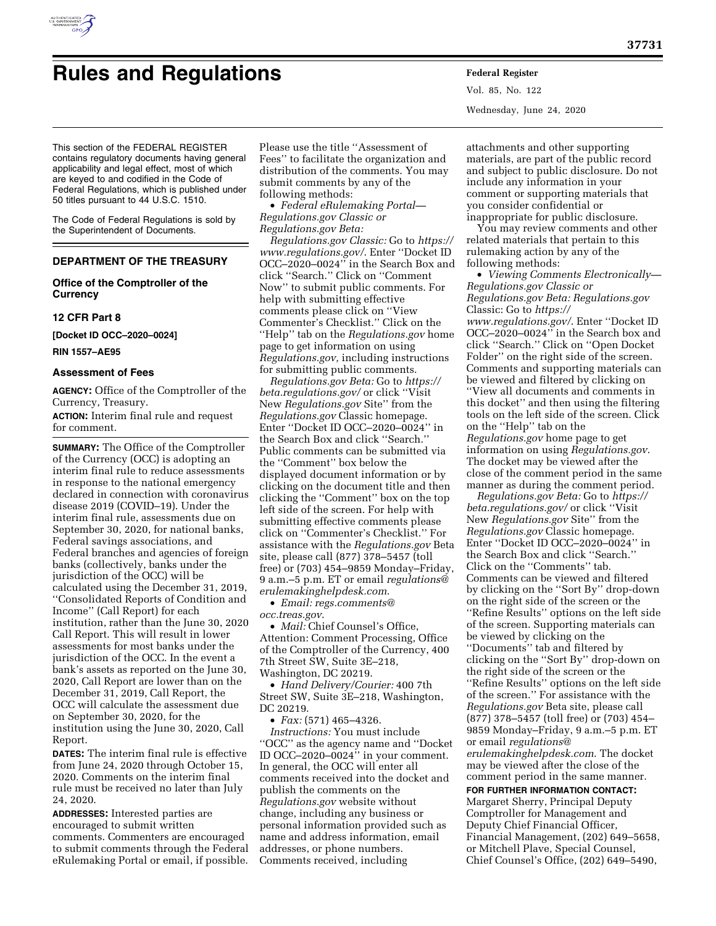

# **Rules and Regulations Federal Register**

Vol. 85, No. 122 Wednesday, June 24, 2020

This section of the FEDERAL REGISTER contains regulatory documents having general applicability and legal effect, most of which are keyed to and codified in the Code of Federal Regulations, which is published under 50 titles pursuant to 44 U.S.C. 1510.

The Code of Federal Regulations is sold by the Superintendent of Documents.

# **DEPARTMENT OF THE TREASURY**

# **Office of the Comptroller of the Currency**

# **12 CFR Part 8**

**[Docket ID OCC–2020–0024]** 

**RIN 1557–AE95** 

## **Assessment of Fees**

**AGENCY:** Office of the Comptroller of the Currency, Treasury.

**ACTION:** Interim final rule and request for comment.

**SUMMARY:** The Office of the Comptroller of the Currency (OCC) is adopting an interim final rule to reduce assessments in response to the national emergency declared in connection with coronavirus disease 2019 (COVID–19). Under the interim final rule, assessments due on September 30, 2020, for national banks, Federal savings associations, and Federal branches and agencies of foreign banks (collectively, banks under the jurisdiction of the OCC) will be calculated using the December 31, 2019, ''Consolidated Reports of Condition and Income'' (Call Report) for each institution, rather than the June 30, 2020 Call Report. This will result in lower assessments for most banks under the jurisdiction of the OCC. In the event a bank's assets as reported on the June 30, 2020, Call Report are lower than on the December 31, 2019, Call Report, the OCC will calculate the assessment due on September 30, 2020, for the institution using the June 30, 2020, Call Report.

**DATES:** The interim final rule is effective from June 24, 2020 through October 15, 2020. Comments on the interim final rule must be received no later than July 24, 2020.

**ADDRESSES:** Interested parties are encouraged to submit written comments. Commenters are encouraged to submit comments through the Federal eRulemaking Portal or email, if possible.

Please use the title ''Assessment of Fees'' to facilitate the organization and distribution of the comments. You may submit comments by any of the following methods:

• *Federal eRulemaking Portal— Regulations.gov Classic or Regulations.gov Beta:* 

*Regulations.gov Classic:* Go to *[https://](https://www.regulations.gov/)  [www.regulations.gov/](https://www.regulations.gov/)*. Enter ''Docket ID OCC–2020–0024'' in the Search Box and click ''Search.'' Click on ''Comment Now'' to submit public comments. For help with submitting effective comments please click on ''View Commenter's Checklist.'' Click on the ''Help'' tab on the *Regulations.gov* home page to get information on using *Regulations.gov,* including instructions for submitting public comments.

*Regulations.gov Beta:* Go to *[https://](https://beta.regulations.gov/) [beta.regulations.gov/](https://beta.regulations.gov/)* or click ''Visit New *Regulations.gov* Site'' from the *Regulations.gov* Classic homepage. Enter ''Docket ID OCC–2020–0024'' in the Search Box and click ''Search.'' Public comments can be submitted via the ''Comment'' box below the displayed document information or by clicking on the document title and then clicking the ''Comment'' box on the top left side of the screen. For help with submitting effective comments please click on ''Commenter's Checklist.'' For assistance with the *Regulations.gov* Beta site, please call (877) 378–5457 (toll free) or (703) 454–9859 Monday–Friday, 9 a.m.–5 p.m. ET or email *[regulations@](mailto:regulations@erulemakinghelpdesk.com) [erulemakinghelpdesk.com](mailto:regulations@erulemakinghelpdesk.com)*.

• *Email: [regs.comments@](mailto:regs.comments@occ.treas.gov) [occ.treas.gov](mailto:regs.comments@occ.treas.gov)*.

• *Mail:* Chief Counsel's Office, Attention: Comment Processing, Office of the Comptroller of the Currency, 400 7th Street SW, Suite 3E–218, Washington, DC 20219.

• *Hand Delivery/Courier:* 400 7th Street SW, Suite 3E–218, Washington, DC 20219.

• *Fax:* (571) 465–4326.

*Instructions:* You must include ''OCC'' as the agency name and ''Docket ID OCC–2020–0024'' in your comment. In general, the OCC will enter all comments received into the docket and publish the comments on the *Regulations.gov* website without change, including any business or personal information provided such as name and address information, email addresses, or phone numbers. Comments received, including

attachments and other supporting materials, are part of the public record and subject to public disclosure. Do not include any information in your comment or supporting materials that you consider confidential or inappropriate for public disclosure.

You may review comments and other related materials that pertain to this rulemaking action by any of the following methods:

• *Viewing Comments Electronically— Regulations.gov Classic or Regulations.gov Beta: Regulations.gov*  Classic: Go to *[https://](https://www.regulations.gov/) [www.regulations.gov/](https://www.regulations.gov/)*. Enter ''Docket ID OCC–2020–0024'' in the Search box and click ''Search.'' Click on ''Open Docket Folder'' on the right side of the screen. Comments and supporting materials can be viewed and filtered by clicking on ''View all documents and comments in this docket'' and then using the filtering tools on the left side of the screen. Click on the ''Help'' tab on the *Regulations.gov* home page to get information on using *Regulations.gov*. The docket may be viewed after the close of the comment period in the same manner as during the comment period.

*Regulations.gov Beta:* Go to *[https://](https://beta.regulations.gov/) [beta.regulations.gov/](https://beta.regulations.gov/)* or click ''Visit New *Regulations.gov* Site'' from the *Regulations.gov* Classic homepage. Enter ''Docket ID OCC–2020–0024'' in the Search Box and click ''Search.'' Click on the ''Comments'' tab. Comments can be viewed and filtered by clicking on the ''Sort By'' drop-down on the right side of the screen or the ''Refine Results'' options on the left side of the screen. Supporting materials can be viewed by clicking on the ''Documents'' tab and filtered by clicking on the ''Sort By'' drop-down on the right side of the screen or the ''Refine Results'' options on the left side of the screen.'' For assistance with the *Regulations.gov* Beta site, please call (877) 378–5457 (toll free) or (703) 454– 9859 Monday–Friday, 9 a.m.–5 p.m. ET or email *[regulations@](mailto:regulations@erulemakinghelpdesk.com) [erulemakinghelpdesk.com](mailto:regulations@erulemakinghelpdesk.com)*. The docket may be viewed after the close of the comment period in the same manner.

**FOR FURTHER INFORMATION CONTACT:**  Margaret Sherry, Principal Deputy Comptroller for Management and Deputy Chief Financial Officer, Financial Management, (202) 649–5658, or Mitchell Plave, Special Counsel, Chief Counsel's Office, (202) 649–5490,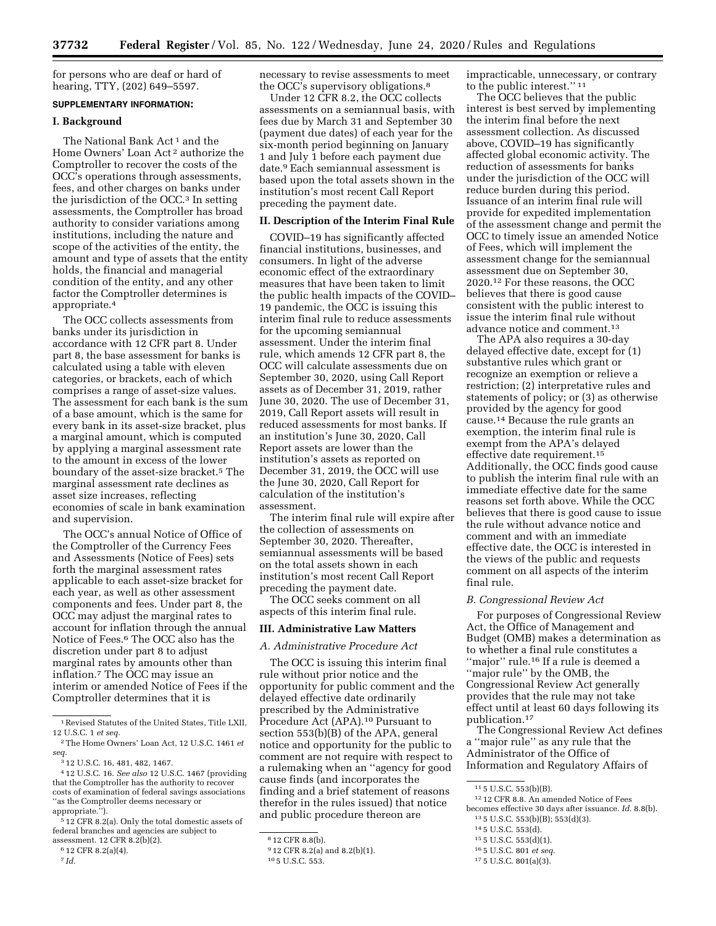for persons who are deaf or hard of hearing, TTY, (202) 649–5597.

# **SUPPLEMENTARY INFORMATION:**

## **I. Background**

The National Bank Act<sup>1</sup> and the Home Owners' Loan Act 2 authorize the Comptroller to recover the costs of the OCC's operations through assessments, fees, and other charges on banks under the jurisdiction of the OCC.3 In setting assessments, the Comptroller has broad authority to consider variations among institutions, including the nature and scope of the activities of the entity, the amount and type of assets that the entity holds, the financial and managerial condition of the entity, and any other factor the Comptroller determines is appropriate.4

The OCC collects assessments from banks under its jurisdiction in accordance with 12 CFR part 8. Under part 8, the base assessment for banks is calculated using a table with eleven categories, or brackets, each of which comprises a range of asset-size values. The assessment for each bank is the sum of a base amount, which is the same for every bank in its asset-size bracket, plus a marginal amount, which is computed by applying a marginal assessment rate to the amount in excess of the lower boundary of the asset-size bracket.5 The marginal assessment rate declines as asset size increases, reflecting economies of scale in bank examination and supervision.

The OCC's annual Notice of Office of the Comptroller of the Currency Fees and Assessments (Notice of Fees) sets forth the marginal assessment rates applicable to each asset-size bracket for each year, as well as other assessment components and fees. Under part 8, the OCC may adjust the marginal rates to account for inflation through the annual Notice of Fees.6 The OCC also has the discretion under part 8 to adjust marginal rates by amounts other than inflation.7 The OCC may issue an interim or amended Notice of Fees if the Comptroller determines that it is

necessary to revise assessments to meet the OCC's supervisory obligations.8

Under 12 CFR 8.2, the OCC collects assessments on a semiannual basis, with fees due by March 31 and September 30 (payment due dates) of each year for the six-month period beginning on January 1 and July 1 before each payment due date.9 Each semiannual assessment is based upon the total assets shown in the institution's most recent Call Report preceding the payment date.

#### **II. Description of the Interim Final Rule**

COVID–19 has significantly affected financial institutions, businesses, and consumers. In light of the adverse economic effect of the extraordinary measures that have been taken to limit the public health impacts of the COVID– 19 pandemic, the OCC is issuing this interim final rule to reduce assessments for the upcoming semiannual assessment. Under the interim final rule, which amends 12 CFR part 8, the OCC will calculate assessments due on September 30, 2020, using Call Report assets as of December 31, 2019, rather June 30, 2020. The use of December 31, 2019, Call Report assets will result in reduced assessments for most banks. If an institution's June 30, 2020, Call Report assets are lower than the institution's assets as reported on December 31, 2019, the OCC will use the June 30, 2020, Call Report for calculation of the institution's assessment.

The interim final rule will expire after the collection of assessments on September 30, 2020. Thereafter, semiannual assessments will be based on the total assets shown in each institution's most recent Call Report preceding the payment date.

The OCC seeks comment on all aspects of this interim final rule.

## **III. Administrative Law Matters**

*A. Administrative Procedure Act* 

The OCC is issuing this interim final rule without prior notice and the opportunity for public comment and the delayed effective date ordinarily prescribed by the Administrative Procedure Act (APA).10 Pursuant to section 553(b)(B) of the APA, general notice and opportunity for the public to comment are not require with respect to a rulemaking when an ''agency for good cause finds (and incorporates the finding and a brief statement of reasons therefor in the rules issued) that notice and public procedure thereon are

impracticable, unnecessary, or contrary to the public interest.'' 11

The OCC believes that the public interest is best served by implementing the interim final before the next assessment collection. As discussed above, COVID–19 has significantly affected global economic activity. The reduction of assessments for banks under the jurisdiction of the OCC will reduce burden during this period. Issuance of an interim final rule will provide for expedited implementation of the assessment change and permit the OCC to timely issue an amended Notice of Fees, which will implement the assessment change for the semiannual assessment due on September 30, 2020.12 For these reasons, the OCC believes that there is good cause consistent with the public interest to issue the interim final rule without advance notice and comment.13

The APA also requires a 30-day delayed effective date, except for (1) substantive rules which grant or recognize an exemption or relieve a restriction; (2) interpretative rules and statements of policy; or (3) as otherwise provided by the agency for good cause.14 Because the rule grants an exemption, the interim final rule is exempt from the APA's delayed effective date requirement.15 Additionally, the OCC finds good cause to publish the interim final rule with an immediate effective date for the same reasons set forth above. While the OCC believes that there is good cause to issue the rule without advance notice and comment and with an immediate effective date, the OCC is interested in the views of the public and requests comment on all aspects of the interim final rule.

#### *B. Congressional Review Act*

For purposes of Congressional Review Act, the Office of Management and Budget (OMB) makes a determination as to whether a final rule constitutes a ''major'' rule.16 If a rule is deemed a ''major rule'' by the OMB, the Congressional Review Act generally provides that the rule may not take effect until at least 60 days following its publication.17

The Congressional Review Act defines a ''major rule'' as any rule that the Administrator of the Office of Information and Regulatory Affairs of

- 14 5 U.S.C. 553(d).
- 15 5 U.S.C. 553(d)(1).
- 16 5 U.S.C. 801 *et seq.*

17 5 U.S.C. 801(a)(3).

<sup>1</sup>Revised Statutes of the United States, Title LXII, 12 U.S.C. 1 *et seq.* 

<sup>2</sup>The Home Owners' Loan Act, 12 U.S.C. 1461 *et seq.* 

<sup>3</sup> 12 U.S.C. 16, 481, 482, 1467.

<sup>4</sup> 12 U.S.C. 16. *See also* 12 U.S.C. 1467 (providing that the Comptroller has the authority to recover costs of examination of federal savings associations ''as the Comptroller deems necessary or appropriate.'').

<sup>5</sup> 12 CFR 8.2(a). Only the total domestic assets of federal branches and agencies are subject to assessment. 12 CFR 8.2(b)(2).

<sup>6</sup> 12 CFR 8.2(a)(4).

<sup>7</sup> *Id.* 

<sup>8</sup> 12 CFR 8.8(b).

<sup>9</sup> 12 CFR 8.2(a) and 8.2(b)(1).

<sup>10</sup> 5 U.S.C. 553.

<sup>11</sup> 5 U.S.C. 553(b)(B).

<sup>12</sup> 12 CFR 8.8. An amended Notice of Fees becomes effective 30 days after issuance. *Id.* 8.8(b). 13 5 U.S.C. 553(b)(B); 553(d)(3).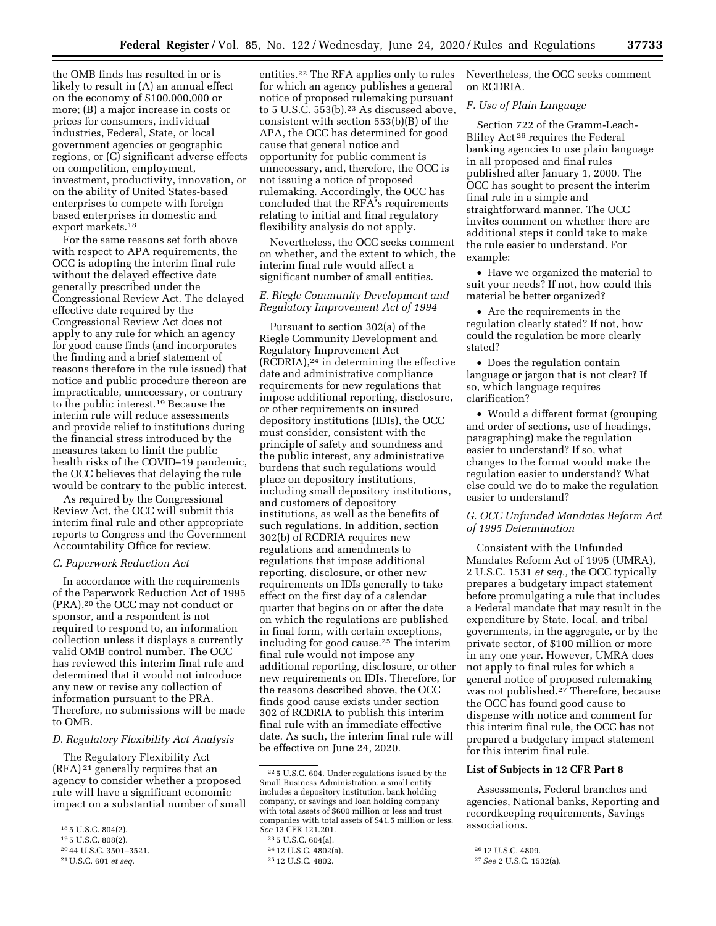the OMB finds has resulted in or is likely to result in (A) an annual effect on the economy of \$100,000,000 or more; (B) a major increase in costs or prices for consumers, individual industries, Federal, State, or local government agencies or geographic regions, or (C) significant adverse effects on competition, employment, investment, productivity, innovation, or on the ability of United States-based enterprises to compete with foreign based enterprises in domestic and export markets.18

For the same reasons set forth above with respect to APA requirements, the OCC is adopting the interim final rule without the delayed effective date generally prescribed under the Congressional Review Act. The delayed effective date required by the Congressional Review Act does not apply to any rule for which an agency for good cause finds (and incorporates the finding and a brief statement of reasons therefore in the rule issued) that notice and public procedure thereon are impracticable, unnecessary, or contrary to the public interest.19 Because the interim rule will reduce assessments and provide relief to institutions during the financial stress introduced by the measures taken to limit the public health risks of the COVID–19 pandemic, the OCC believes that delaying the rule would be contrary to the public interest.

As required by the Congressional Review Act, the OCC will submit this interim final rule and other appropriate reports to Congress and the Government Accountability Office for review.

#### *C. Paperwork Reduction Act*

In accordance with the requirements of the Paperwork Reduction Act of 1995 (PRA),20 the OCC may not conduct or sponsor, and a respondent is not required to respond to, an information collection unless it displays a currently valid OMB control number. The OCC has reviewed this interim final rule and determined that it would not introduce any new or revise any collection of information pursuant to the PRA. Therefore, no submissions will be made to OMB.

#### *D. Regulatory Flexibility Act Analysis*

The Regulatory Flexibility Act (RFA) 21 generally requires that an agency to consider whether a proposed rule will have a significant economic impact on a substantial number of small

entities.22 The RFA applies only to rules for which an agency publishes a general notice of proposed rulemaking pursuant to  $5$  U.S.C.  $553(b)$ .<sup>23</sup> As discussed above, consistent with section 553(b)(B) of the APA, the OCC has determined for good cause that general notice and opportunity for public comment is unnecessary, and, therefore, the OCC is not issuing a notice of proposed rulemaking. Accordingly, the OCC has concluded that the RFA's requirements relating to initial and final regulatory flexibility analysis do not apply.

Nevertheless, the OCC seeks comment on whether, and the extent to which, the interim final rule would affect a significant number of small entities.

# *E. Riegle Community Development and Regulatory Improvement Act of 1994*

Pursuant to section 302(a) of the Riegle Community Development and Regulatory Improvement Act  $(RCDRIA),<sup>24</sup>$  in determining the effective date and administrative compliance requirements for new regulations that impose additional reporting, disclosure, or other requirements on insured depository institutions (IDIs), the OCC must consider, consistent with the principle of safety and soundness and the public interest, any administrative burdens that such regulations would place on depository institutions, including small depository institutions, and customers of depository institutions, as well as the benefits of such regulations. In addition, section 302(b) of RCDRIA requires new regulations and amendments to regulations that impose additional reporting, disclosure, or other new requirements on IDIs generally to take effect on the first day of a calendar quarter that begins on or after the date on which the regulations are published in final form, with certain exceptions, including for good cause.25 The interim final rule would not impose any additional reporting, disclosure, or other new requirements on IDIs. Therefore, for the reasons described above, the OCC finds good cause exists under section 302 of RCDRIA to publish this interim final rule with an immediate effective date. As such, the interim final rule will be effective on June 24, 2020.

Nevertheless, the OCC seeks comment on RCDRIA.

## *F. Use of Plain Language*

Section 722 of the Gramm-Leach-Bliley Act 26 requires the Federal banking agencies to use plain language in all proposed and final rules published after January 1, 2000. The OCC has sought to present the interim final rule in a simple and straightforward manner. The OCC invites comment on whether there are additional steps it could take to make the rule easier to understand. For example:

• Have we organized the material to suit your needs? If not, how could this material be better organized?

• Are the requirements in the regulation clearly stated? If not, how could the regulation be more clearly stated?

• Does the regulation contain language or jargon that is not clear? If so, which language requires clarification?

• Would a different format (grouping and order of sections, use of headings, paragraphing) make the regulation easier to understand? If so, what changes to the format would make the regulation easier to understand? What else could we do to make the regulation easier to understand?

# *G. OCC Unfunded Mandates Reform Act of 1995 Determination*

Consistent with the Unfunded Mandates Reform Act of 1995 (UMRA), 2 U.S.C. 1531 *et seq.,* the OCC typically prepares a budgetary impact statement before promulgating a rule that includes a Federal mandate that may result in the expenditure by State, local, and tribal governments, in the aggregate, or by the private sector, of \$100 million or more in any one year. However, UMRA does not apply to final rules for which a general notice of proposed rulemaking was not published.27 Therefore, because the OCC has found good cause to dispense with notice and comment for this interim final rule, the OCC has not prepared a budgetary impact statement for this interim final rule.

## **List of Subjects in 12 CFR Part 8**

Assessments, Federal branches and agencies, National banks, Reporting and recordkeeping requirements, Savings associations.

<sup>18</sup> 5 U.S.C. 804(2).

<sup>19</sup> 5 U.S.C. 808(2).

<sup>20</sup> 44 U.S.C. 3501–3521.

<sup>21</sup>U.S.C. 601 *et seq.* 

<sup>22</sup> 5 U.S.C. 604. Under regulations issued by the Small Business Administration, a small entity includes a depository institution, bank holding company, or savings and loan holding company with total assets of \$600 million or less and trust companies with total assets of \$41.5 million or less. *See* 13 CFR 121.201.

<sup>23</sup> 5 U.S.C. 604(a).

<sup>24</sup> 12 U.S.C. 4802(a).

<sup>25</sup> 12 U.S.C. 4802.

<sup>26</sup> 12 U.S.C. 4809.

<sup>27</sup>*See* 2 U.S.C. 1532(a).